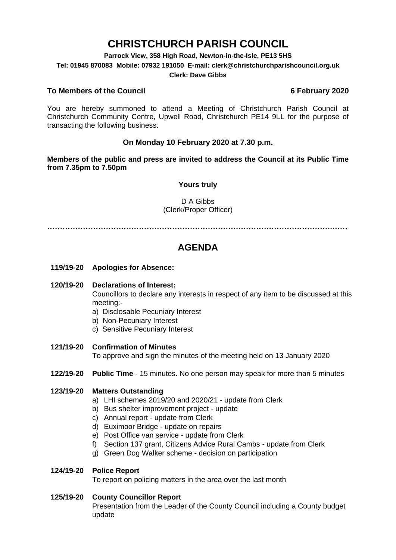# **CHRISTCHURCH PARISH COUNCIL**

**Parrock View, 358 High Road, Newton-in-the-Isle, PE13 5HS**

**Tel: 01945 870083 Mobile: 07932 191050 E-mail: clerk@christchurchparishcouncil.org.uk**

### **Clerk: Dave Gibbs**

### **To Members of the Council 6 February 2020**

You are hereby summoned to attend a Meeting of Christchurch Parish Council at Christchurch Community Centre, Upwell Road, Christchurch PE14 9LL for the purpose of transacting the following business.

### **On Monday 10 February 2020 at 7.30 p.m.**

**Members of the public and press are invited to address the Council at its Public Time from 7.35pm to 7.50pm**

### **Yours truly**

D A Gibbs (Clerk/Proper Officer)

**………………………………………………………………………………………………….……**

## **AGENDA**

**119/19-20 Apologies for Absence:** 

### **120/19-20 Declarations of Interest:**

Councillors to declare any interests in respect of any item to be discussed at this meeting:-

- a) Disclosable Pecuniary Interest
- b) Non-Pecuniary Interest
- c) Sensitive Pecuniary Interest
- **121/19-20 Confirmation of Minutes**

To approve and sign the minutes of the meeting held on 13 January 2020

**122/19-20 Public Time** - 15 minutes. No one person may speak for more than 5 minutes

### **123/19-20 Matters Outstanding**

- a) LHI schemes 2019/20 and 2020/21 update from Clerk
- b) Bus shelter improvement project update
- c) Annual report update from Clerk
- d) Euximoor Bridge update on repairs
- e) Post Office van service update from Clerk
- f) Section 137 grant, Citizens Advice Rural Cambs update from Clerk
- g) Green Dog Walker scheme decision on participation

### **124/19-20 Police Report**

To report on policing matters in the area over the last month

### **125/19-20 County Councillor Report**

Presentation from the Leader of the County Council including a County budget update